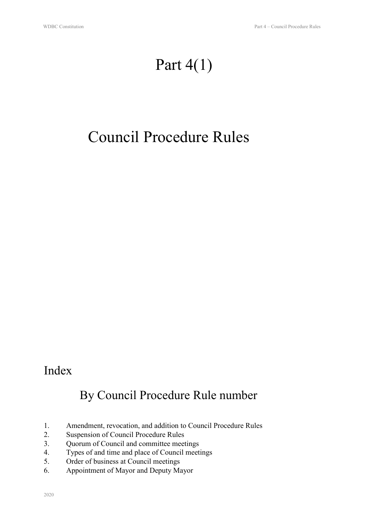# Part 4(1)

# Council Procedure Rules

### Index

### By Council Procedure Rule number

- 1. Amendment, revocation, and addition to Council Procedure Rules
- 2. Suspension of Council Procedure Rules
- 3. Quorum of Council and committee meetings
- 4. Types of and time and place of Council meetings
- 5. Order of business at Council meetings
- 6. Appointment of Mayor and Deputy Mayor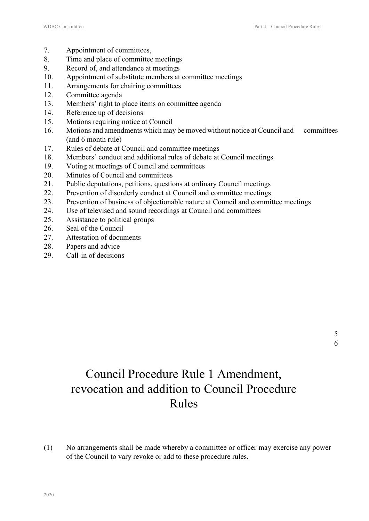- 7. Appointment of committees,
- 8. Time and place of committee meetings
- 9. Record of, and attendance at meetings
- 10. Appointment of substitute members at committee meetings
- 11. Arrangements for chairing committees
- 12. Committee agenda
- 13. Members' right to place items on committee agenda
- 14. Reference up of decisions
- 15. Motions requiring notice at Council
- 16. Motions and amendments which may be moved without notice at Council and committees (and 6 month rule)
- 17. Rules of debate at Council and committee meetings
- 18. Members' conduct and additional rules of debate at Council meetings
- 19. Voting at meetings of Council and committees
- 20. Minutes of Council and committees
- 21. Public deputations, petitions, questions at ordinary Council meetings
- 22. Prevention of disorderly conduct at Council and committee meetings
- 23. Prevention of business of objectionable nature at Council and committee meetings
- 24. Use of televised and sound recordings at Council and committees
- 25. Assistance to political groups
- 26. Seal of the Council
- 27. Attestation of documents
- 28. Papers and advice
- 29. Call-in of decisions

# Council Procedure Rule 1 Amendment, revocation and addition to Council Procedure Rules

(1) No arrangements shall be made whereby a committee or officer may exercise any power of the Council to vary revoke or add to these procedure rules.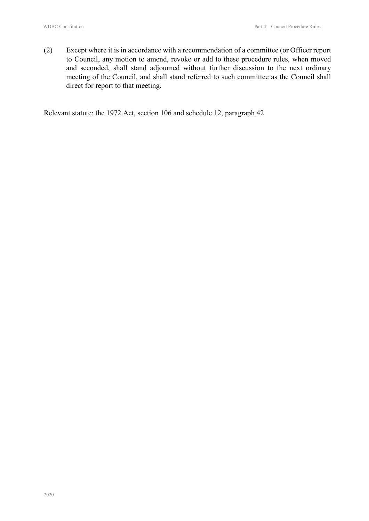(2) Except where it is in accordance with a recommendation of a committee (or Officer report to Council, any motion to amend, revoke or add to these procedure rules, when moved and seconded, shall stand adjourned without further discussion to the next ordinary meeting of the Council, and shall stand referred to such committee as the Council shall direct for report to that meeting.

Relevant statute: the 1972 Act, section 106 and schedule 12, paragraph 42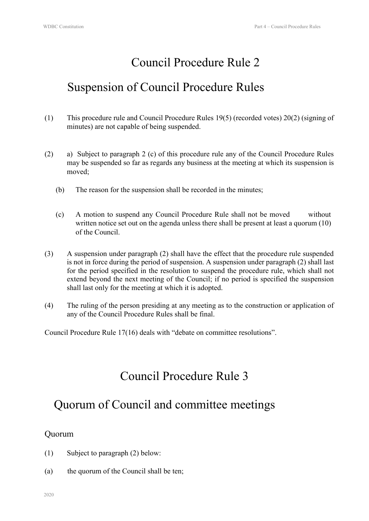### Suspension of Council Procedure Rules

- (1) This procedure rule and Council Procedure Rules 19(5) (recorded votes) 20(2) (signing of minutes) are not capable of being suspended.
- (2) a) Subject to paragraph 2 (c) of this procedure rule any of the Council Procedure Rules may be suspended so far as regards any business at the meeting at which its suspension is moved;
	- (b) The reason for the suspension shall be recorded in the minutes;
	- (c) A motion to suspend any Council Procedure Rule shall not be moved without written notice set out on the agenda unless there shall be present at least a quorum (10) of the Council.
- (3) A suspension under paragraph (2) shall have the effect that the procedure rule suspended is not in force during the period of suspension. A suspension under paragraph (2) shall last for the period specified in the resolution to suspend the procedure rule, which shall not extend beyond the next meeting of the Council; if no period is specified the suspension shall last only for the meeting at which it is adopted.
- (4) The ruling of the person presiding at any meeting as to the construction or application of any of the Council Procedure Rules shall be final.

Council Procedure Rule 17(16) deals with "debate on committee resolutions".

### Council Procedure Rule 3

### Quorum of Council and committee meetings

#### Quorum

- (1) Subject to paragraph (2) below:
- (a) the quorum of the Council shall be ten;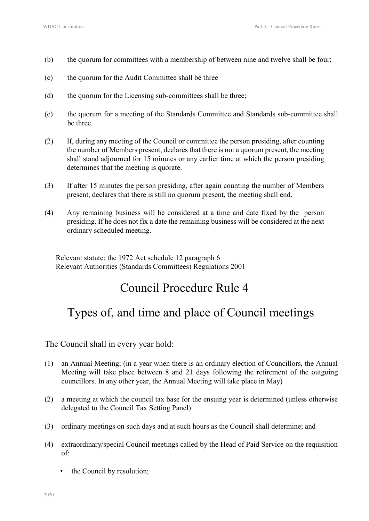- (b) the quorum for committees with a membership of between nine and twelve shall be four;
- (c) the quorum for the Audit Committee shall be three
- (d) the quorum for the Licensing sub-committees shall be three;
- (e) the quorum for a meeting of the Standards Committee and Standards sub-committee shall be three.
- (2) If, during any meeting of the Council or committee the person presiding, after counting the number of Members present, declares that there is not a quorum present, the meeting shall stand adjourned for 15 minutes or any earlier time at which the person presiding determines that the meeting is quorate.
- (3) If after 15 minutes the person presiding, after again counting the number of Members present, declares that there is still no quorum present, the meeting shall end.
- (4) Any remaining business will be considered at a time and date fixed by the person presiding. If he does not fix a date the remaining business will be considered at the next ordinary scheduled meeting.

Relevant statute: the 1972 Act schedule 12 paragraph 6 Relevant Authorities (Standards Committees) Regulations 2001

### Council Procedure Rule 4

### Types of, and time and place of Council meetings

The Council shall in every year hold:

- (1) an Annual Meeting; (in a year when there is an ordinary election of Councillors, the Annual Meeting will take place between 8 and 21 days following the retirement of the outgoing councillors. In any other year, the Annual Meeting will take place in May)
- (2) a meeting at which the council tax base for the ensuing year is determined (unless otherwise delegated to the Council Tax Setting Panel)
- (3) ordinary meetings on such days and at such hours as the Council shall determine; and
- (4) extraordinary/special Council meetings called by the Head of Paid Service on the requisition of:
	- the Council by resolution;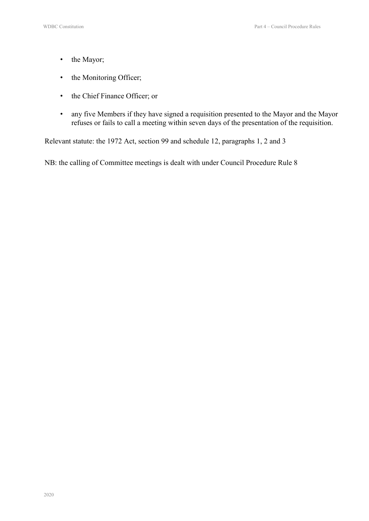- the Mayor;
- the Monitoring Officer;
- the Chief Finance Officer; or
- any five Members if they have signed a requisition presented to the Mayor and the Mayor refuses or fails to call a meeting within seven days of the presentation of the requisition.

Relevant statute: the 1972 Act, section 99 and schedule 12, paragraphs 1, 2 and 3

NB: the calling of Committee meetings is dealt with under Council Procedure Rule 8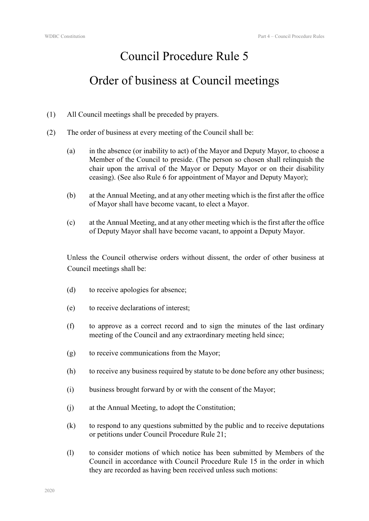### Order of business at Council meetings

- (1) All Council meetings shall be preceded by prayers.
- (2) The order of business at every meeting of the Council shall be:
	- (a) in the absence (or inability to act) of the Mayor and Deputy Mayor, to choose a Member of the Council to preside. (The person so chosen shall relinquish the chair upon the arrival of the Mayor or Deputy Mayor or on their disability ceasing). (See also Rule 6 for appointment of Mayor and Deputy Mayor);
	- (b) at the Annual Meeting, and at any other meeting which is the first after the office of Mayor shall have become vacant, to elect a Mayor.
	- (c) at the Annual Meeting, and at any other meeting which is the first after the office of Deputy Mayor shall have become vacant, to appoint a Deputy Mayor.

Unless the Council otherwise orders without dissent, the order of other business at Council meetings shall be:

- (d) to receive apologies for absence;
- (e) to receive declarations of interest;
- (f) to approve as a correct record and to sign the minutes of the last ordinary meeting of the Council and any extraordinary meeting held since;
- (g) to receive communications from the Mayor;
- (h) to receive any business required by statute to be done before any other business;
- (i) business brought forward by or with the consent of the Mayor;
- (j) at the Annual Meeting, to adopt the Constitution;
- (k) to respond to any questions submitted by the public and to receive deputations or petitions under Council Procedure Rule 21;
- (l) to consider motions of which notice has been submitted by Members of the Council in accordance with Council Procedure Rule 15 in the order in which they are recorded as having been received unless such motions: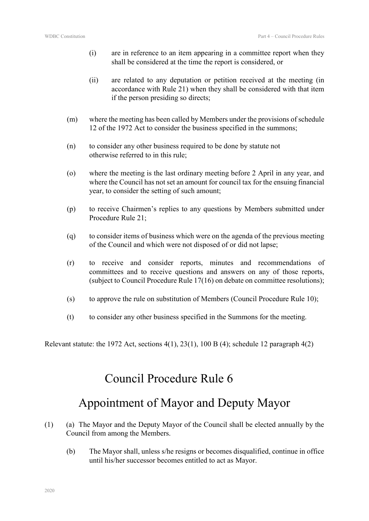- (i) are in reference to an item appearing in a committee report when they shall be considered at the time the report is considered, or
- (ii) are related to any deputation or petition received at the meeting (in accordance with Rule 21) when they shall be considered with that item if the person presiding so directs;
- (m) where the meeting has been called by Members under the provisions of schedule 12 of the 1972 Act to consider the business specified in the summons;
- (n) to consider any other business required to be done by statute not otherwise referred to in this rule;
- (o) where the meeting is the last ordinary meeting before 2 April in any year, and where the Council has not set an amount for council tax for the ensuing financial year, to consider the setting of such amount;
- (p) to receive Chairmen's replies to any questions by Members submitted under Procedure Rule 21;
- (q) to consider items of business which were on the agenda of the previous meeting of the Council and which were not disposed of or did not lapse;
- (r) to receive and consider reports, minutes and recommendations of committees and to receive questions and answers on any of those reports, (subject to Council Procedure Rule 17(16) on debate on committee resolutions);
- (s) to approve the rule on substitution of Members (Council Procedure Rule 10);
- (t) to consider any other business specified in the Summons for the meeting.

Relevant statute: the 1972 Act, sections  $4(1)$ ,  $23(1)$ ,  $100B(4)$ ; schedule 12 paragraph  $4(2)$ 

### Council Procedure Rule 6

### Appointment of Mayor and Deputy Mayor

- (1) (a) The Mayor and the Deputy Mayor of the Council shall be elected annually by the Council from among the Members.
	- (b) The Mayor shall, unless s/he resigns or becomes disqualified, continue in office until his/her successor becomes entitled to act as Mayor.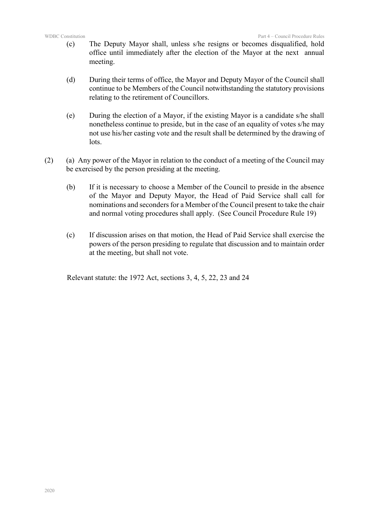- (c) The Deputy Mayor shall, unless s/he resigns or becomes disqualified, hold office until immediately after the election of the Mayor at the next annual meeting.
- (d) During their terms of office, the Mayor and Deputy Mayor of the Council shall continue to be Members of the Council notwithstanding the statutory provisions relating to the retirement of Councillors.
- (e) During the election of a Mayor, if the existing Mayor is a candidate s/he shall nonetheless continue to preside, but in the case of an equality of votes s/he may not use his/her casting vote and the result shall be determined by the drawing of lots.
- (2) (a) Any power of the Mayor in relation to the conduct of a meeting of the Council may be exercised by the person presiding at the meeting.
	- (b) If it is necessary to choose a Member of the Council to preside in the absence of the Mayor and Deputy Mayor, the Head of Paid Service shall call for nominations and seconders for a Member of the Council present to take the chair and normal voting procedures shall apply. (See Council Procedure Rule 19)
	- (c) If discussion arises on that motion, the Head of Paid Service shall exercise the powers of the person presiding to regulate that discussion and to maintain order at the meeting, but shall not vote.

Relevant statute: the 1972 Act, sections 3, 4, 5, 22, 23 and 24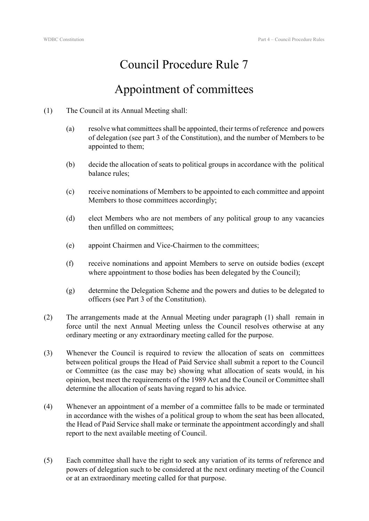### Appointment of committees

- (1) The Council at its Annual Meeting shall:
	- (a) resolve what committees shall be appointed, their terms of reference and powers of delegation (see part 3 of the Constitution), and the number of Members to be appointed to them;
	- (b) decide the allocation of seats to political groups in accordance with the political balance rules;
	- (c) receive nominations of Members to be appointed to each committee and appoint Members to those committees accordingly;
	- (d) elect Members who are not members of any political group to any vacancies then unfilled on committees;
	- (e) appoint Chairmen and Vice-Chairmen to the committees;
	- (f) receive nominations and appoint Members to serve on outside bodies (except where appointment to those bodies has been delegated by the Council);
	- (g) determine the Delegation Scheme and the powers and duties to be delegated to officers (see Part 3 of the Constitution).
- (2) The arrangements made at the Annual Meeting under paragraph (1) shall remain in force until the next Annual Meeting unless the Council resolves otherwise at any ordinary meeting or any extraordinary meeting called for the purpose.
- (3) Whenever the Council is required to review the allocation of seats on committees between political groups the Head of Paid Service shall submit a report to the Council or Committee (as the case may be) showing what allocation of seats would, in his opinion, best meet the requirements of the 1989 Act and the Council or Committee shall determine the allocation of seats having regard to his advice.
- (4) Whenever an appointment of a member of a committee falls to be made or terminated in accordance with the wishes of a political group to whom the seat has been allocated, the Head of Paid Service shall make or terminate the appointment accordingly and shall report to the next available meeting of Council.
- (5) Each committee shall have the right to seek any variation of its terms of reference and powers of delegation such to be considered at the next ordinary meeting of the Council or at an extraordinary meeting called for that purpose.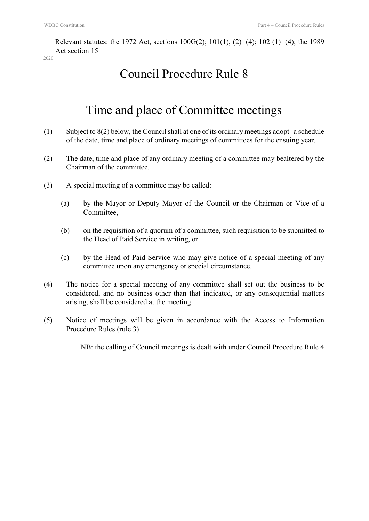Relevant statutes: the 1972 Act, sections 100G(2); 101(1), (2) (4); 102 (1) (4); the 1989 Act section 15

### Council Procedure Rule 8

### Time and place of Committee meetings

- (1) Subject to  $8(2)$  below, the Council shall at one of its ordinary meetings adopt a schedule of the date, time and place of ordinary meetings of committees for the ensuing year.
- (2) The date, time and place of any ordinary meeting of a committee may bealtered by the Chairman of the committee.
- (3) A special meeting of a committee may be called:
	- (a) by the Mayor or Deputy Mayor of the Council or the Chairman or Vice-of a Committee,
	- (b) on the requisition of a quorum of a committee, such requisition to be submitted to the Head of Paid Service in writing, or
	- (c) by the Head of Paid Service who may give notice of a special meeting of any committee upon any emergency or special circumstance.
- (4) The notice for a special meeting of any committee shall set out the business to be considered, and no business other than that indicated, or any consequential matters arising, shall be considered at the meeting.
- (5) Notice of meetings will be given in accordance with the Access to Information Procedure Rules (rule 3)

NB: the calling of Council meetings is dealt with under Council Procedure Rule 4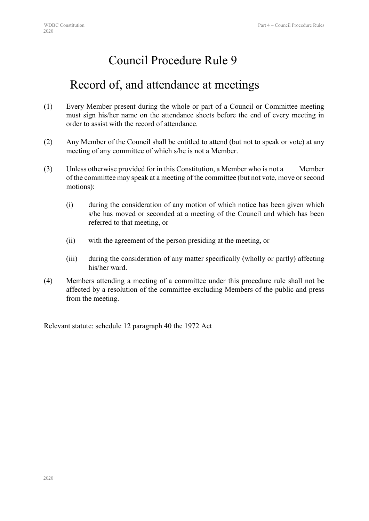### Record of, and attendance at meetings

- (1) Every Member present during the whole or part of a Council or Committee meeting must sign his/her name on the attendance sheets before the end of every meeting in order to assist with the record of attendance.
- (2) Any Member of the Council shall be entitled to attend (but not to speak or vote) at any meeting of any committee of which s/he is not a Member.
- (3) Unless otherwise provided for in this Constitution, a Member who is not a Member of the committee may speak at a meeting of the committee (but not vote, move or second motions):
	- (i) during the consideration of any motion of which notice has been given which s/he has moved or seconded at a meeting of the Council and which has been referred to that meeting, or
	- (ii) with the agreement of the person presiding at the meeting, or
	- (iii) during the consideration of any matter specifically (wholly or partly) affecting his/her ward.
- (4) Members attending a meeting of a committee under this procedure rule shall not be affected by a resolution of the committee excluding Members of the public and press from the meeting.

Relevant statute: schedule 12 paragraph 40 the 1972 Act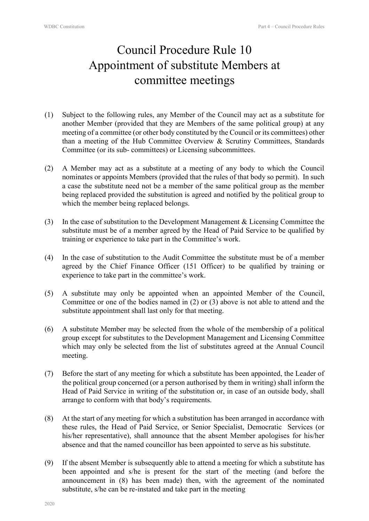# Council Procedure Rule 10 Appointment of substitute Members at committee meetings

- (1) Subject to the following rules, any Member of the Council may act as a substitute for another Member (provided that they are Members of the same political group) at any meeting of a committee (or other body constituted by the Council or its committees) other than a meeting of the Hub Committee Overview & Scrutiny Committees, Standards Committee (or its sub- committees) or Licensing subcommittees.
- (2) A Member may act as a substitute at a meeting of any body to which the Council nominates or appoints Members (provided that the rules of that body so permit). In such a case the substitute need not be a member of the same political group as the member being replaced provided the substitution is agreed and notified by the political group to which the member being replaced belongs.
- (3) In the case of substitution to the Development Management & Licensing Committee the substitute must be of a member agreed by the Head of Paid Service to be qualified by training or experience to take part in the Committee's work.
- (4) In the case of substitution to the Audit Committee the substitute must be of a member agreed by the Chief Finance Officer (151 Officer) to be qualified by training or experience to take part in the committee's work.
- (5) A substitute may only be appointed when an appointed Member of the Council, Committee or one of the bodies named in (2) or (3) above is not able to attend and the substitute appointment shall last only for that meeting.
- (6) A substitute Member may be selected from the whole of the membership of a political group except for substitutes to the Development Management and Licensing Committee which may only be selected from the list of substitutes agreed at the Annual Council meeting.
- (7) Before the start of any meeting for which a substitute has been appointed, the Leader of the political group concerned (or a person authorised by them in writing) shall inform the Head of Paid Service in writing of the substitution or, in case of an outside body, shall arrange to conform with that body's requirements.
- (8) At the start of any meeting for which a substitution has been arranged in accordance with these rules, the Head of Paid Service, or Senior Specialist, Democratic Services (or his/her representative), shall announce that the absent Member apologises for his/her absence and that the named councillor has been appointed to serve as his substitute.
- (9) If the absent Member is subsequently able to attend a meeting for which a substitute has been appointed and s/he is present for the start of the meeting (and before the announcement in (8) has been made) then, with the agreement of the nominated substitute, s/he can be re-instated and take part in the meeting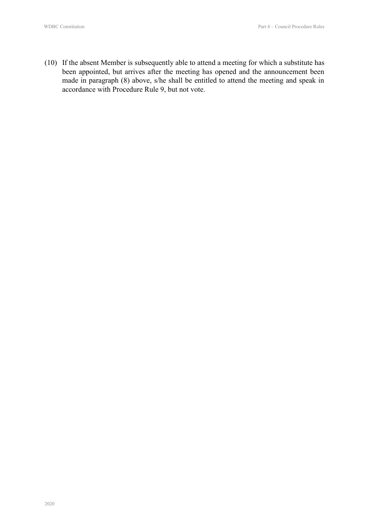(10) If the absent Member is subsequently able to attend a meeting for which a substitute has been appointed, but arrives after the meeting has opened and the announcement been made in paragraph (8) above, s/he shall be entitled to attend the meeting and speak in accordance with Procedure Rule 9, but not vote.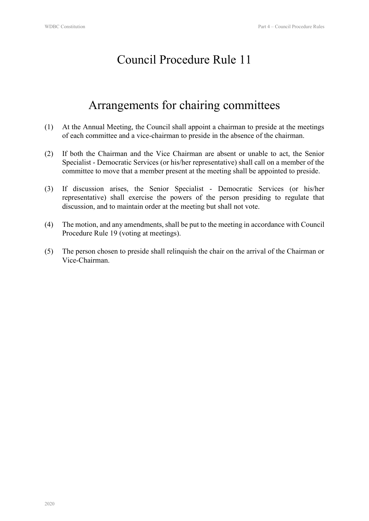# Arrangements for chairing committees

- (1) At the Annual Meeting, the Council shall appoint a chairman to preside at the meetings of each committee and a vice-chairman to preside in the absence of the chairman.
- (2) If both the Chairman and the Vice Chairman are absent or unable to act, the Senior Specialist - Democratic Services (or his/her representative) shall call on a member of the committee to move that a member present at the meeting shall be appointed to preside.
- (3) If discussion arises, the Senior Specialist Democratic Services (or his/her representative) shall exercise the powers of the person presiding to regulate that discussion, and to maintain order at the meeting but shall not vote.
- (4) The motion, and any amendments, shall be put to the meeting in accordance with Council Procedure Rule 19 (voting at meetings).
- (5) The person chosen to preside shall relinquish the chair on the arrival of the Chairman or Vice-Chairman.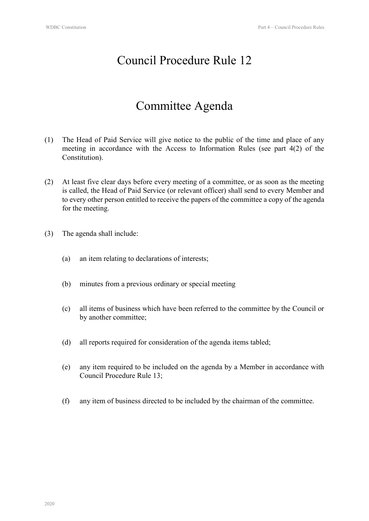### Committee Agenda

- (1) The Head of Paid Service will give notice to the public of the time and place of any meeting in accordance with the Access to Information Rules (see part 4(2) of the Constitution).
- (2) At least five clear days before every meeting of a committee, or as soon as the meeting is called, the Head of Paid Service (or relevant officer) shall send to every Member and to every other person entitled to receive the papers of the committee a copy of the agenda for the meeting.
- (3) The agenda shall include:
	- (a) an item relating to declarations of interests;
	- (b) minutes from a previous ordinary or special meeting
	- (c) all items of business which have been referred to the committee by the Council or by another committee;
	- (d) all reports required for consideration of the agenda items tabled;
	- (e) any item required to be included on the agenda by a Member in accordance with Council Procedure Rule 13;
	- (f) any item of business directed to be included by the chairman of the committee.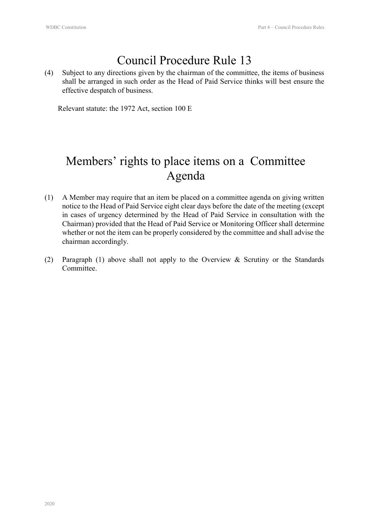(4) Subject to any directions given by the chairman of the committee, the items of business shall be arranged in such order as the Head of Paid Service thinks will best ensure the effective despatch of business.

Relevant statute: the 1972 Act, section 100 E

# Members' rights to place items on a Committee Agenda

- (1) A Member may require that an item be placed on a committee agenda on giving written notice to the Head of Paid Service eight clear days before the date of the meeting (except in cases of urgency determined by the Head of Paid Service in consultation with the Chairman) provided that the Head of Paid Service or Monitoring Officer shall determine whether or not the item can be properly considered by the committee and shall advise the chairman accordingly.
- (2) Paragraph (1) above shall not apply to the Overview & Scrutiny or the Standards Committee.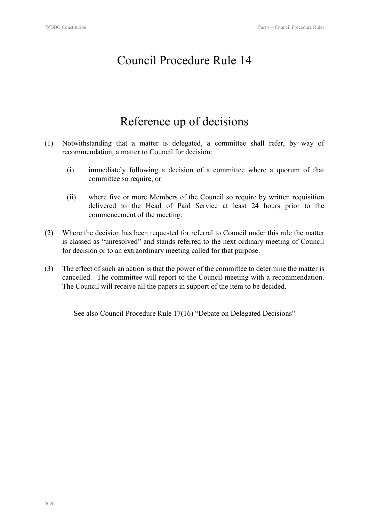### Reference up of decisions

- (1) Notwithstanding that a matter is delegated, a committee shall refer, by way of recommendation, a matter to Council for decision:
	- (i) immediately following a decision of a committee where a quorum of that committee so require, or
	- (ii) where five or more Members of the Council so require by written requisition delivered to the Head of Paid Service at least 24 hours prior to the commencement of the meeting.
- (2) Where the decision has been requested for referral to Council under this rule the matter is classed as "unresolved" and stands referred to the next ordinary meeting of Council for decision or to an extraordinary meeting called for that purpose.
- (3) The effect of such an action is that the power of the committee to determine the matter is cancelled. The committee will report to the Council meeting with a recommendation. The Council will receive all the papers in support of the item to be decided.

See also Council Procedure Rule 17(16) "Debate on Delegated Decisions"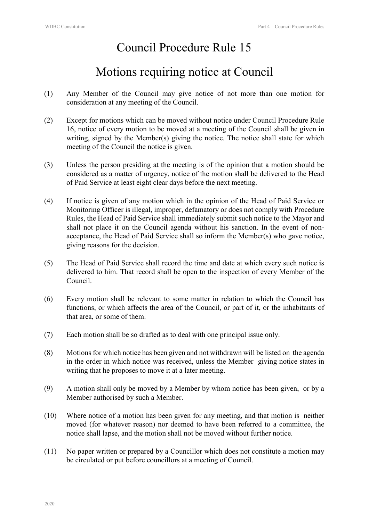### Motions requiring notice at Council

- (1) Any Member of the Council may give notice of not more than one motion for consideration at any meeting of the Council.
- (2) Except for motions which can be moved without notice under Council Procedure Rule 16, notice of every motion to be moved at a meeting of the Council shall be given in writing, signed by the Member(s) giving the notice. The notice shall state for which meeting of the Council the notice is given.
- (3) Unless the person presiding at the meeting is of the opinion that a motion should be considered as a matter of urgency, notice of the motion shall be delivered to the Head of Paid Service at least eight clear days before the next meeting.
- (4) If notice is given of any motion which in the opinion of the Head of Paid Service or Monitoring Officer is illegal, improper, defamatory or does not comply with Procedure Rules, the Head of Paid Service shall immediately submit such notice to the Mayor and shall not place it on the Council agenda without his sanction. In the event of nonacceptance, the Head of Paid Service shall so inform the Member(s) who gave notice, giving reasons for the decision.
- (5) The Head of Paid Service shall record the time and date at which every such notice is delivered to him. That record shall be open to the inspection of every Member of the Council.
- (6) Every motion shall be relevant to some matter in relation to which the Council has functions, or which affects the area of the Council, or part of it, or the inhabitants of that area, or some of them.
- (7) Each motion shall be so drafted as to deal with one principal issue only.
- (8) Motions for which notice has been given and not withdrawn will be listed on the agenda in the order in which notice was received, unless the Member giving notice states in writing that he proposes to move it at a later meeting.
- (9) A motion shall only be moved by a Member by whom notice has been given, or by a Member authorised by such a Member.
- (10) Where notice of a motion has been given for any meeting, and that motion is neither moved (for whatever reason) nor deemed to have been referred to a committee, the notice shall lapse, and the motion shall not be moved without further notice.
- (11) No paper written or prepared by a Councillor which does not constitute a motion may be circulated or put before councillors at a meeting of Council.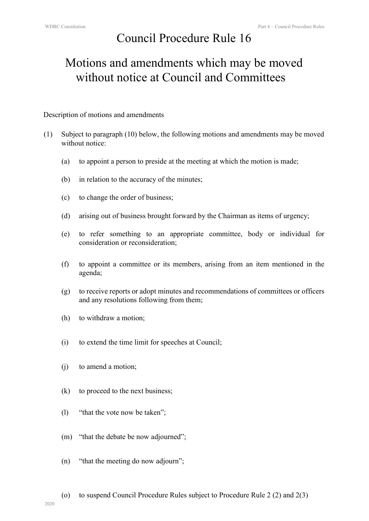# Motions and amendments which may be moved without notice at Council and Committees

Description of motions and amendments

- (1) Subject to paragraph (10) below, the following motions and amendments may be moved without notice:
	- (a) to appoint a person to preside at the meeting at which the motion is made;
	- (b) in relation to the accuracy of the minutes;
	- (c) to change the order of business;
	- (d) arising out of business brought forward by the Chairman as items of urgency;
	- (e) to refer something to an appropriate committee, body or individual for consideration or reconsideration;
	- (f) to appoint a committee or its members, arising from an item mentioned in the agenda;
	- (g) to receive reports or adopt minutes and recommendations of committees or officers and any resolutions following from them;
	- (h) to withdraw a motion;
	- (i) to extend the time limit for speeches at Council;
	- (j) to amend a motion;
	- (k) to proceed to the next business;
	- (l) "that the vote now be taken";
	- (m) "that the debate be now adjourned";
	- (n) "that the meeting do now adjourn";
	- (o) to suspend Council Procedure Rules subject to Procedure Rule 2 (2) and 2(3)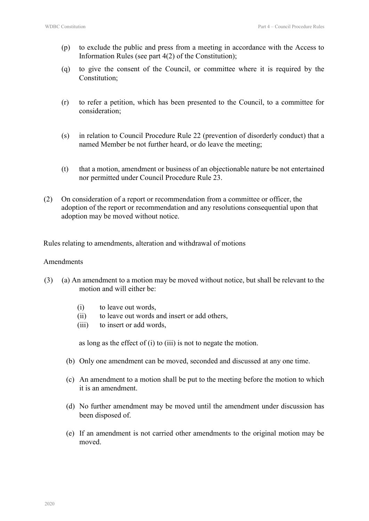- (p) to exclude the public and press from a meeting in accordance with the Access to Information Rules (see part 4(2) of the Constitution);
- (q) to give the consent of the Council, or committee where it is required by the Constitution;
- (r) to refer a petition, which has been presented to the Council, to a committee for consideration;
- (s) in relation to Council Procedure Rule 22 (prevention of disorderly conduct) that a named Member be not further heard, or do leave the meeting;
- (t) that a motion, amendment or business of an objectionable nature be not entertained nor permitted under Council Procedure Rule 23.
- (2) On consideration of a report or recommendation from a committee or officer, the adoption of the report or recommendation and any resolutions consequential upon that adoption may be moved without notice.

Rules relating to amendments, alteration and withdrawal of motions

#### Amendments

- (3) (a) An amendment to a motion may be moved without notice, but shall be relevant to the motion and will either be:
	- (i) to leave out words,
	- (ii) to leave out words and insert or add others,
	- (iii) to insert or add words,

as long as the effect of (i) to (iii) is not to negate the motion.

- (b) Only one amendment can be moved, seconded and discussed at any one time.
- (c) An amendment to a motion shall be put to the meeting before the motion to which it is an amendment.
- (d) No further amendment may be moved until the amendment under discussion has been disposed of.
- (e) If an amendment is not carried other amendments to the original motion may be moved.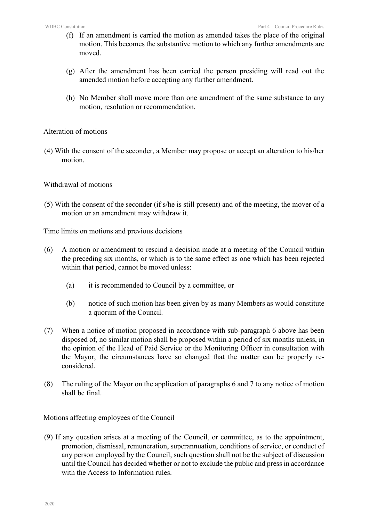- (f) If an amendment is carried the motion as amended takes the place of the original motion. This becomes the substantive motion to which any further amendments are moved.
- (g) After the amendment has been carried the person presiding will read out the amended motion before accepting any further amendment.
- (h) No Member shall move more than one amendment of the same substance to any motion, resolution or recommendation.

#### Alteration of motions

(4) With the consent of the seconder, a Member may propose or accept an alteration to his/her motion.

#### Withdrawal of motions

(5) With the consent of the seconder (if s/he is still present) and of the meeting, the mover of a motion or an amendment may withdraw it.

Time limits on motions and previous decisions

- (6) A motion or amendment to rescind a decision made at a meeting of the Council within the preceding six months, or which is to the same effect as one which has been rejected within that period, cannot be moved unless:
	- (a) it is recommended to Council by a committee, or
	- (b) notice of such motion has been given by as many Members as would constitute a quorum of the Council.
- (7) When a notice of motion proposed in accordance with sub-paragraph 6 above has been disposed of, no similar motion shall be proposed within a period of six months unless, in the opinion of the Head of Paid Service or the Monitoring Officer in consultation with the Mayor, the circumstances have so changed that the matter can be properly reconsidered.
- (8) The ruling of the Mayor on the application of paragraphs 6 and 7 to any notice of motion shall be final.

#### Motions affecting employees of the Council

(9) If any question arises at a meeting of the Council, or committee, as to the appointment, promotion, dismissal, remuneration, superannuation, conditions of service, or conduct of any person employed by the Council, such question shall not be the subject of discussion until the Council has decided whether or not to exclude the public and press in accordance with the Access to Information rules.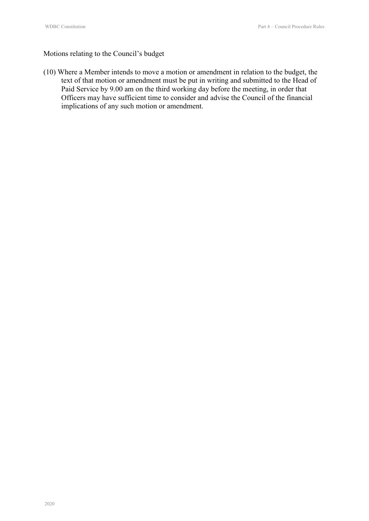#### Motions relating to the Council's budget

(10) Where a Member intends to move a motion or amendment in relation to the budget, the text of that motion or amendment must be put in writing and submitted to the Head of Paid Service by 9.00 am on the third working day before the meeting, in order that Officers may have sufficient time to consider and advise the Council of the financial implications of any such motion or amendment.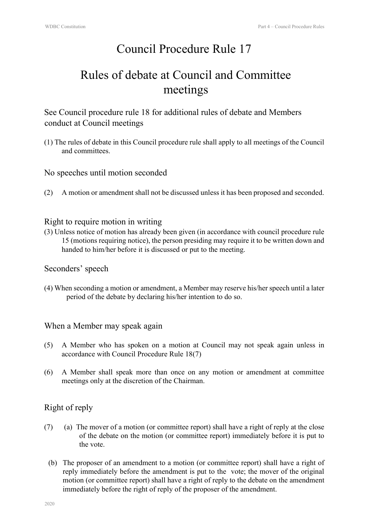# Rules of debate at Council and Committee meetings

See Council procedure rule 18 for additional rules of debate and Members conduct at Council meetings

(1) The rules of debate in this Council procedure rule shall apply to all meetings of the Council and committees.

No speeches until motion seconded

(2) A motion or amendment shall not be discussed unless it has been proposed and seconded.

#### Right to require motion in writing

(3) Unless notice of motion has already been given (in accordance with council procedure rule 15 (motions requiring notice), the person presiding may require it to be written down and handed to him/her before it is discussed or put to the meeting.

Seconders' speech

(4) When seconding a motion or amendment, a Member may reserve his/her speech until a later period of the debate by declaring his/her intention to do so.

#### When a Member may speak again

- (5) A Member who has spoken on a motion at Council may not speak again unless in accordance with Council Procedure Rule 18(7)
- (6) A Member shall speak more than once on any motion or amendment at committee meetings only at the discretion of the Chairman.

#### Right of reply

- (7) (a) The mover of a motion (or committee report) shall have a right of reply at the close of the debate on the motion (or committee report) immediately before it is put to the vote.
	- (b) The proposer of an amendment to a motion (or committee report) shall have a right of reply immediately before the amendment is put to the vote; the mover of the original motion (or committee report) shall have a right of reply to the debate on the amendment immediately before the right of reply of the proposer of the amendment.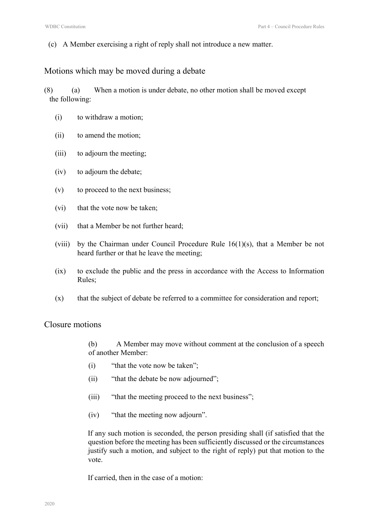(c) A Member exercising a right of reply shall not introduce a new matter.

#### Motions which may be moved during a debate

(8) (a) When a motion is under debate, no other motion shall be moved except the following:

- (i) to withdraw a motion;
- (ii) to amend the motion;
- (iii) to adjourn the meeting;
- (iv) to adjourn the debate;
- (v) to proceed to the next business;
- (vi) that the vote now be taken;
- (vii) that a Member be not further heard;
- (viii) by the Chairman under Council Procedure Rule 16(1)(s), that a Member be not heard further or that he leave the meeting;
- (ix) to exclude the public and the press in accordance with the Access to Information Rules;
- (x) that the subject of debate be referred to a committee for consideration and report;

#### Closure motions

(b) A Member may move without comment at the conclusion of a speech of another Member:

- (i) "that the vote now be taken";
- (ii) "that the debate be now adjourned";
- (iii) "that the meeting proceed to the next business";
- (iv) "that the meeting now adjourn".

If any such motion is seconded, the person presiding shall (if satisfied that the question before the meeting has been sufficiently discussed or the circumstances justify such a motion, and subject to the right of reply) put that motion to the vote.

If carried, then in the case of a motion: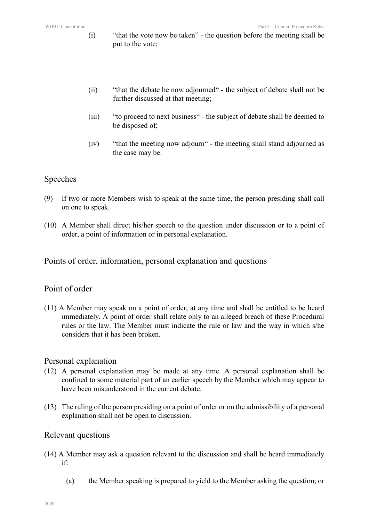- (i) "that the vote now be taken" the question before the meeting shall be put to the vote;
- (ii) "that the debate be now adjourned" the subject of debate shall not be further discussed at that meeting;
- (iii) "to proceed to next business" the subject of debate shall be deemed to be disposed of;
- (iv) "that the meeting now adjourn" the meeting shall stand adjourned as the case may be.

#### Speeches

- (9) If two or more Members wish to speak at the same time, the person presiding shall call on one to speak.
- (10) A Member shall direct his/her speech to the question under discussion or to a point of order, a point of information or in personal explanation.

Points of order, information, personal explanation and questions

#### Point of order

(11) A Member may speak on a point of order, at any time and shall be entitled to be heard immediately. A point of order shall relate only to an alleged breach of these Procedural rules or the law. The Member must indicate the rule or law and the way in which s/he considers that it has been broken.

#### Personal explanation

- (12) A personal explanation may be made at any time. A personal explanation shall be confined to some material part of an earlier speech by the Member which may appear to have been misunderstood in the current debate.
- (13) The ruling of the person presiding on a point of order or on the admissibility of a personal explanation shall not be open to discussion.

#### Relevant questions

- (14) A Member may ask a question relevant to the discussion and shall be heard immediately if:
	- (a) the Member speaking is prepared to yield to the Member asking the question; or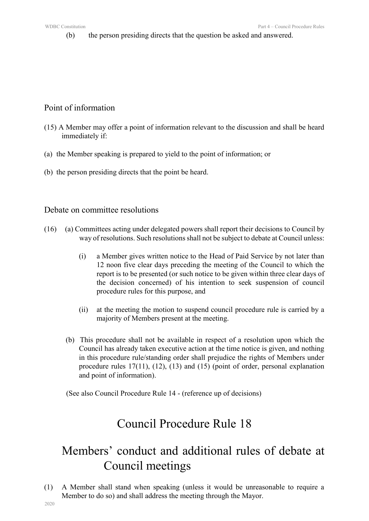(b) the person presiding directs that the question be asked and answered.

#### Point of information

- (15) A Member may offer a point of information relevant to the discussion and shall be heard immediately if:
- (a) the Member speaking is prepared to yield to the point of information; or
- (b) the person presiding directs that the point be heard.

#### Debate on committee resolutions

- (16) (a) Committees acting under delegated powers shall report their decisions to Council by way of resolutions. Such resolutions shall not be subject to debate at Council unless:
	- (i) a Member gives written notice to the Head of Paid Service by not later than 12 noon five clear days preceding the meeting of the Council to which the report is to be presented (or such notice to be given within three clear days of the decision concerned) of his intention to seek suspension of council procedure rules for this purpose, and
	- (ii) at the meeting the motion to suspend council procedure rule is carried by a majority of Members present at the meeting.
	- (b) This procedure shall not be available in respect of a resolution upon which the Council has already taken executive action at the time notice is given, and nothing in this procedure rule/standing order shall prejudice the rights of Members under procedure rules 17(11), (12), (13) and (15) (point of order, personal explanation and point of information).

(See also Council Procedure Rule 14 - (reference up of decisions)

# Council Procedure Rule 18

# Members' conduct and additional rules of debate at Council meetings

(1) A Member shall stand when speaking (unless it would be unreasonable to require a Member to do so) and shall address the meeting through the Mayor.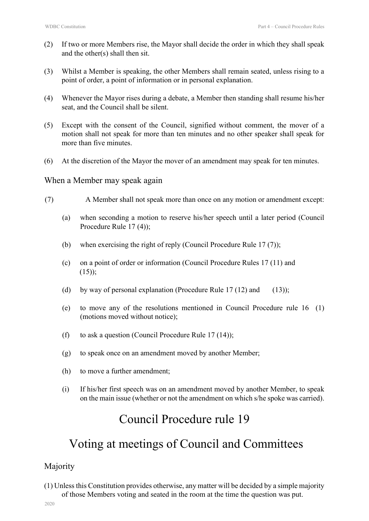- (2) If two or more Members rise, the Mayor shall decide the order in which they shall speak and the other(s) shall then sit.
- (3) Whilst a Member is speaking, the other Members shall remain seated, unless rising to a point of order, a point of information or in personal explanation.
- (4) Whenever the Mayor rises during a debate, a Member then standing shall resume his/her seat, and the Council shall be silent.
- (5) Except with the consent of the Council, signified without comment, the mover of a motion shall not speak for more than ten minutes and no other speaker shall speak for more than five minutes.
- (6) At the discretion of the Mayor the mover of an amendment may speak for ten minutes.

#### When a Member may speak again

- (7) A Member shall not speak more than once on any motion or amendment except:
	- (a) when seconding a motion to reserve his/her speech until a later period (Council Procedure Rule 17 (4));
	- (b) when exercising the right of reply (Council Procedure Rule 17 (7));
	- (c) on a point of order or information (Council Procedure Rules 17 (11) and  $(15)$ ;
	- (d) by way of personal explanation (Procedure Rule  $17(12)$  and (13));
	- (e) to move any of the resolutions mentioned in Council Procedure rule 16 (1) (motions moved without notice);
	- (f) to ask a question (Council Procedure Rule  $17(14)$ );
	- (g) to speak once on an amendment moved by another Member;
	- (h) to move a further amendment;
	- (i) If his/her first speech was on an amendment moved by another Member, to speak on the main issue (whether or not the amendment on which s/he spoke was carried).

### Council Procedure rule 19

### Voting at meetings of Council and Committees

#### Majority

(1) Unless this Constitution provides otherwise, any matter will be decided by a simple majority of those Members voting and seated in the room at the time the question was put.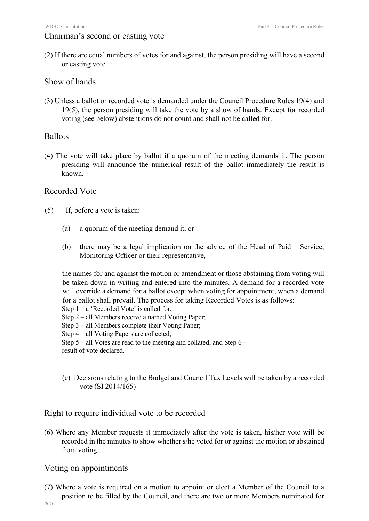#### Chairman's second or casting vote

(2) If there are equal numbers of votes for and against, the person presiding will have a second or casting vote.

#### Show of hands

(3) Unless a ballot or recorded vote is demanded under the Council Procedure Rules 19(4) and 19(5), the person presiding will take the vote by a show of hands. Except for recorded voting (see below) abstentions do not count and shall not be called for.

#### Ballots

(4) The vote will take place by ballot if a quorum of the meeting demands it. The person presiding will announce the numerical result of the ballot immediately the result is known.

#### Recorded Vote

- (5) If, before a vote is taken:
	- (a) a quorum of the meeting demand it, or
	- (b) there may be a legal implication on the advice of the Head of Paid Service, Monitoring Officer or their representative,

the names for and against the motion or amendment or those abstaining from voting will be taken down in writing and entered into the minutes. A demand for a recorded vote will override a demand for a ballot except when voting for appointment, when a demand for a ballot shall prevail. The process for taking Recorded Votes is as follows:

- Step 2 all Members receive a named Voting Paper;
- Step 3 all Members complete their Voting Paper;
- Step 4 all Voting Papers are collected;

Step 5 – all Votes are read to the meeting and collated; and Step 6 –

result of vote declared.

(c) Decisions relating to the Budget and Council Tax Levels will be taken by a recorded vote (SI 2014/165)

#### Right to require individual vote to be recorded

(6) Where any Member requests it immediately after the vote is taken, his/her vote will be recorded in the minutes to show whether s/he voted for or against the motion or abstained from voting.

#### Voting on appointments

(7) Where a vote is required on a motion to appoint or elect a Member of the Council to a position to be filled by the Council, and there are two or more Members nominated for

Step  $1 - a$  'Recorded Vote' is called for;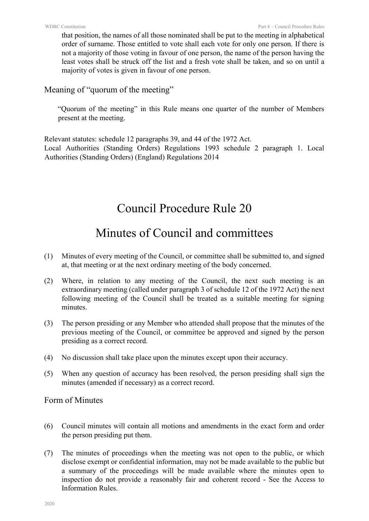that position, the names of all those nominated shall be put to the meeting in alphabetical order of surname. Those entitled to vote shall each vote for only one person. If there is not a majority of those voting in favour of one person, the name of the person having the least votes shall be struck off the list and a fresh vote shall be taken, and so on until a majority of votes is given in favour of one person.

#### Meaning of "quorum of the meeting"

"Quorum of the meeting" in this Rule means one quarter of the number of Members present at the meeting.

Relevant statutes: schedule 12 paragraphs 39, and 44 of the 1972 Act.

Local Authorities (Standing Orders) Regulations 1993 schedule 2 paragraph 1. Local Authorities (Standing Orders) (England) Regulations 2014

# Council Procedure Rule 20

# Minutes of Council and committees

- (1) Minutes of every meeting of the Council, or committee shall be submitted to, and signed at, that meeting or at the next ordinary meeting of the body concerned.
- (2) Where, in relation to any meeting of the Council, the next such meeting is an extraordinary meeting (called under paragraph 3 of schedule 12 of the 1972 Act) the next following meeting of the Council shall be treated as a suitable meeting for signing minutes.
- (3) The person presiding or any Member who attended shall propose that the minutes of the previous meeting of the Council, or committee be approved and signed by the person presiding as a correct record.
- (4) No discussion shall take place upon the minutes except upon their accuracy.
- (5) When any question of accuracy has been resolved, the person presiding shall sign the minutes (amended if necessary) as a correct record.

Form of Minutes

- (6) Council minutes will contain all motions and amendments in the exact form and order the person presiding put them.
- (7) The minutes of proceedings when the meeting was not open to the public, or which disclose exempt or confidential information, may not be made available to the public but a summary of the proceedings will be made available where the minutes open to inspection do not provide a reasonably fair and coherent record - See the Access to Information Rules.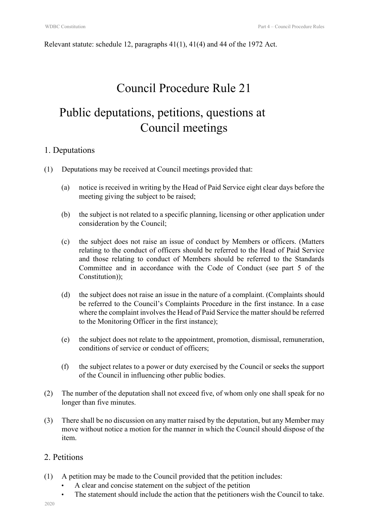Relevant statute: schedule 12, paragraphs  $41(1)$ ,  $41(4)$  and  $44$  of the 1972 Act.

### Council Procedure Rule 21

# Public deputations, petitions, questions at Council meetings

#### 1. Deputations

- (1) Deputations may be received at Council meetings provided that:
	- (a) notice is received in writing by the Head of Paid Service eight clear days before the meeting giving the subject to be raised;
	- (b) the subject is not related to a specific planning, licensing or other application under consideration by the Council;
	- (c) the subject does not raise an issue of conduct by Members or officers. (Matters relating to the conduct of officers should be referred to the Head of Paid Service and those relating to conduct of Members should be referred to the Standards Committee and in accordance with the Code of Conduct (see part 5 of the Constitution));
	- (d) the subject does not raise an issue in the nature of a complaint. (Complaints should be referred to the Council's Complaints Procedure in the first instance. In a case where the complaint involves the Head of Paid Service the matter should be referred to the Monitoring Officer in the first instance);
	- (e) the subject does not relate to the appointment, promotion, dismissal, remuneration, conditions of service or conduct of officers;
	- (f) the subject relates to a power or duty exercised by the Council or seeks the support of the Council in influencing other public bodies.
- (2) The number of the deputation shall not exceed five, of whom only one shall speak for no longer than five minutes.
- (3) There shall be no discussion on any matter raised by the deputation, but any Member may move without notice a motion for the manner in which the Council should dispose of the item.

#### 2. Petitions

- (1) A petition may be made to the Council provided that the petition includes:
	- A clear and concise statement on the subject of the petition
	- The statement should include the action that the petitioners wish the Council to take.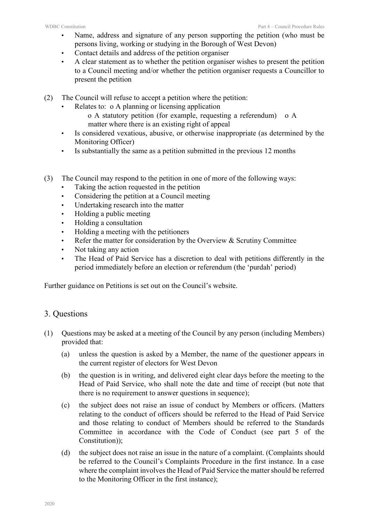- Name, address and signature of any person supporting the petition (who must be persons living, working or studying in the Borough of West Devon)
- Contact details and address of the petition organiser
- A clear statement as to whether the petition organiser wishes to present the petition to a Council meeting and/or whether the petition organiser requests a Councillor to present the petition
- (2) The Council will refuse to accept a petition where the petition:
	- Relates to: o A planning or licensing application
		- o A statutory petition (for example, requesting a referendum) o A matter where there is an existing right of appeal
	- Is considered vexatious, abusive, or otherwise inappropriate (as determined by the Monitoring Officer)
	- Is substantially the same as a petition submitted in the previous 12 months
- (3) The Council may respond to the petition in one of more of the following ways:
	- Taking the action requested in the petition
	- Considering the petition at a Council meeting
	- Undertaking research into the matter
	- Holding a public meeting
	- Holding a consultation
	- Holding a meeting with the petitioners
	- Refer the matter for consideration by the Overview & Scrutiny Committee
	- Not taking any action
	- The Head of Paid Service has a discretion to deal with petitions differently in the period immediately before an election or referendum (the 'purdah' period)

Further guidance on Petitions is set out on the Council's website.

#### 3. Questions

- (1) Questions may be asked at a meeting of the Council by any person (including Members) provided that:
	- (a) unless the question is asked by a Member, the name of the questioner appears in the current register of electors for West Devon
	- (b) the question is in writing, and delivered eight clear days before the meeting to the Head of Paid Service, who shall note the date and time of receipt (but note that there is no requirement to answer questions in sequence);
	- (c) the subject does not raise an issue of conduct by Members or officers. (Matters relating to the conduct of officers should be referred to the Head of Paid Service and those relating to conduct of Members should be referred to the Standards Committee in accordance with the Code of Conduct (see part 5 of the Constitution));
	- (d) the subject does not raise an issue in the nature of a complaint. (Complaints should be referred to the Council's Complaints Procedure in the first instance. In a case where the complaint involves the Head of Paid Service the matter should be referred to the Monitoring Officer in the first instance);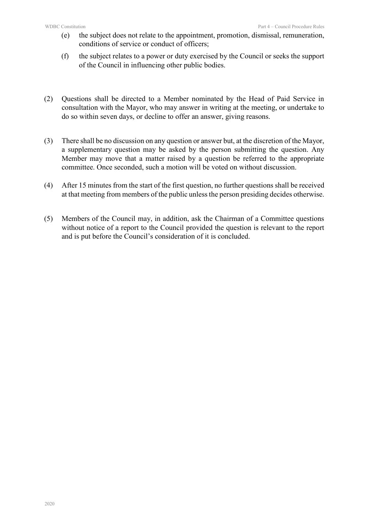- (e) the subject does not relate to the appointment, promotion, dismissal, remuneration, conditions of service or conduct of officers;
- (f) the subject relates to a power or duty exercised by the Council or seeks the support of the Council in influencing other public bodies.
- (2) Questions shall be directed to a Member nominated by the Head of Paid Service in consultation with the Mayor, who may answer in writing at the meeting, or undertake to do so within seven days, or decline to offer an answer, giving reasons.
- (3) There shall be no discussion on any question or answer but, at the discretion of the Mayor, a supplementary question may be asked by the person submitting the question. Any Member may move that a matter raised by a question be referred to the appropriate committee. Once seconded, such a motion will be voted on without discussion.
- (4) After 15 minutes from the start of the first question, no further questions shall be received at that meeting from members of the public unless the person presiding decides otherwise.
- (5) Members of the Council may, in addition, ask the Chairman of a Committee questions without notice of a report to the Council provided the question is relevant to the report and is put before the Council's consideration of it is concluded.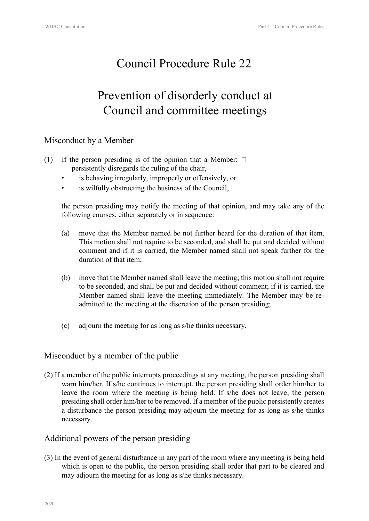# Prevention of disorderly conduct at Council and committee meetings

#### Misconduct by a Member

- (1) If the person presiding is of the opinion that a Member:  $\Box$ persistently disregards the ruling of the chair,
	- is behaving irregularly, improperly or offensively, or
	- is wilfully obstructing the business of the Council,

the person presiding may notify the meeting of that opinion, and may take any of the following courses, either separately or in sequence:

- (a) move that the Member named be not further heard for the duration of that item. This motion shall not require to be seconded, and shall be put and decided without comment and if it is carried, the Member named shall not speak further for the duration of that item;
- (b) move that the Member named shall leave the meeting; this motion shall not require to be seconded, and shall be put and decided without comment; if it is carried, the Member named shall leave the meeting immediately. The Member may be readmitted to the meeting at the discretion of the person presiding;
- (c) adjourn the meeting for as long as s/he thinks necessary.

#### Misconduct by a member of the public

(2) If a member of the public interrupts proceedings at any meeting, the person presiding shall warn him/her. If s/he continues to interrupt, the person presiding shall order him/her to leave the room where the meeting is being held. If s/he does not leave, the person presiding shall order him/her to be removed. If a member of the public persistently creates a disturbance the person presiding may adjourn the meeting for as long as s/he thinks necessary.

#### Additional powers of the person presiding

(3) In the event of general disturbance in any part of the room where any meeting is being held which is open to the public, the person presiding shall order that part to be cleared and may adjourn the meeting for as long as s/he thinks necessary.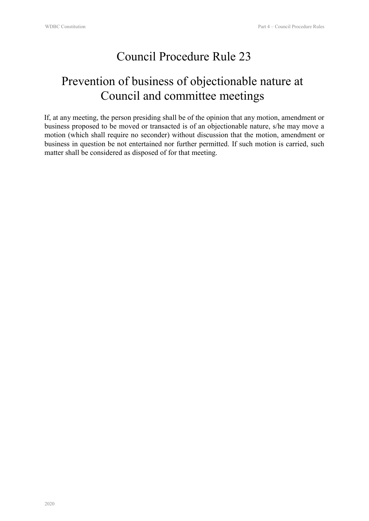# Prevention of business of objectionable nature at Council and committee meetings

If, at any meeting, the person presiding shall be of the opinion that any motion, amendment or business proposed to be moved or transacted is of an objectionable nature, s/he may move a motion (which shall require no seconder) without discussion that the motion, amendment or business in question be not entertained nor further permitted. If such motion is carried, such matter shall be considered as disposed of for that meeting.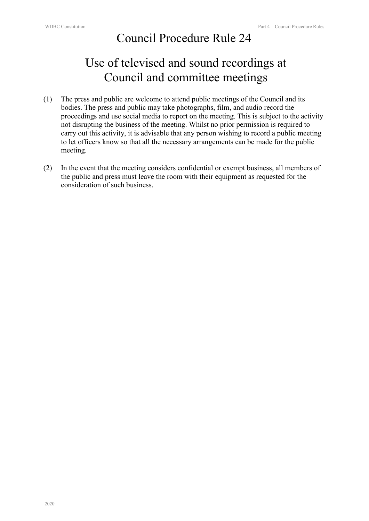# Use of televised and sound recordings at Council and committee meetings

- (1) The press and public are welcome to attend public meetings of the Council and its bodies. The press and public may take photographs, film, and audio record the proceedings and use social media to report on the meeting. This is subject to the activity not disrupting the business of the meeting. Whilst no prior permission is required to carry out this activity, it is advisable that any person wishing to record a public meeting to let officers know so that all the necessary arrangements can be made for the public meeting.
- (2) In the event that the meeting considers confidential or exempt business, all members of the public and press must leave the room with their equipment as requested for the consideration of such business.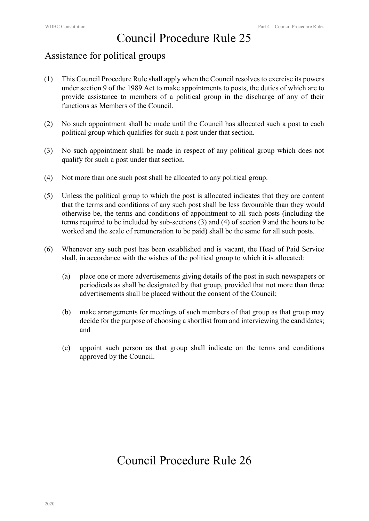### Assistance for political groups

- (1) This Council Procedure Rule shall apply when the Council resolves to exercise its powers under section 9 of the 1989 Act to make appointments to posts, the duties of which are to provide assistance to members of a political group in the discharge of any of their functions as Members of the Council.
- (2) No such appointment shall be made until the Council has allocated such a post to each political group which qualifies for such a post under that section.
- (3) No such appointment shall be made in respect of any political group which does not qualify for such a post under that section.
- (4) Not more than one such post shall be allocated to any political group.
- (5) Unless the political group to which the post is allocated indicates that they are content that the terms and conditions of any such post shall be less favourable than they would otherwise be, the terms and conditions of appointment to all such posts (including the terms required to be included by sub-sections (3) and (4) of section 9 and the hours to be worked and the scale of remuneration to be paid) shall be the same for all such posts.
- (6) Whenever any such post has been established and is vacant, the Head of Paid Service shall, in accordance with the wishes of the political group to which it is allocated:
	- (a) place one or more advertisements giving details of the post in such newspapers or periodicals as shall be designated by that group, provided that not more than three advertisements shall be placed without the consent of the Council;
	- (b) make arrangements for meetings of such members of that group as that group may decide for the purpose of choosing a shortlist from and interviewing the candidates; and
	- (c) appoint such person as that group shall indicate on the terms and conditions approved by the Council.

### Council Procedure Rule 26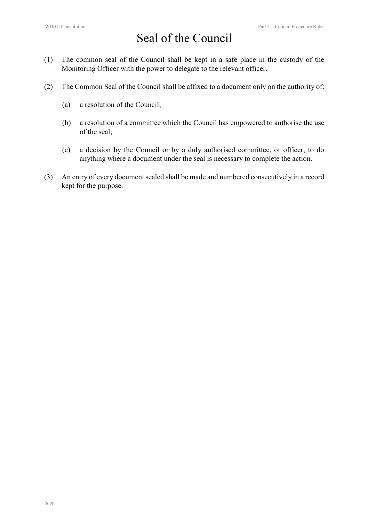# Seal of the Council

- (1) The common seal of the Council shall be kept in a safe place in the custody of the Monitoring Officer with the power to delegate to the relevant officer.
- (2) The Common Seal of the Council shall be affixed to a document only on the authority of:
	- (a) a resolution of the Council;
	- (b) a resolution of a committee which the Council has empowered to authorise the use of the seal;
	- (c) a decision by the Council or by a duly authorised committee, or officer, to do anything where a document under the seal is necessary to complete the action.
- (3) An entry of every document sealed shall be made and numbered consecutively in a record kept for the purpose.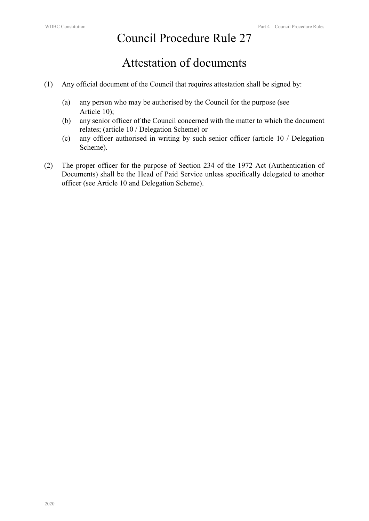# Attestation of documents

- (1) Any official document of the Council that requires attestation shall be signed by:
	- (a) any person who may be authorised by the Council for the purpose (see Article 10);
	- (b) any senior officer of the Council concerned with the matter to which the document relates; (article 10 / Delegation Scheme) or
	- (c) any officer authorised in writing by such senior officer (article 10 / Delegation Scheme).
- (2) The proper officer for the purpose of Section 234 of the 1972 Act (Authentication of Documents) shall be the Head of Paid Service unless specifically delegated to another officer (see Article 10 and Delegation Scheme).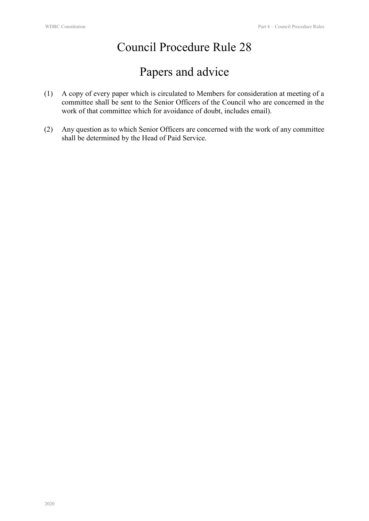# Papers and advice

- (1) A copy of every paper which is circulated to Members for consideration at meeting of a committee shall be sent to the Senior Officers of the Council who are concerned in the work of that committee which for avoidance of doubt, includes email).
- (2) Any question as to which Senior Officers are concerned with the work of any committee shall be determined by the Head of Paid Service.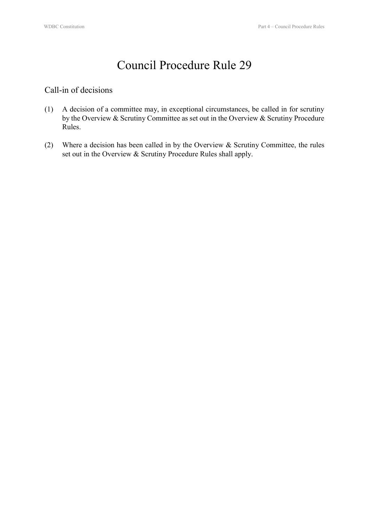#### Call-in of decisions

- (1) A decision of a committee may, in exceptional circumstances, be called in for scrutiny by the Overview & Scrutiny Committee as set out in the Overview & Scrutiny Procedure Rules.
- (2) Where a decision has been called in by the Overview & Scrutiny Committee, the rules set out in the Overview & Scrutiny Procedure Rules shall apply.